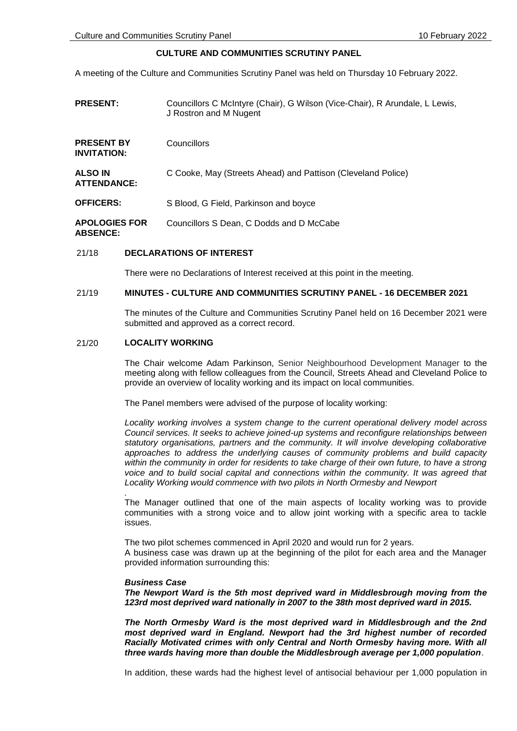# **CULTURE AND COMMUNITIES SCRUTINY PANEL**

A meeting of the Culture and Communities Scrutiny Panel was held on Thursday 10 February 2022.

| <b>PRESENT:</b>                         | Councillors C McIntyre (Chair), G Wilson (Vice-Chair), R Arundale, L Lewis,<br>J Rostron and M Nugent |
|-----------------------------------------|-------------------------------------------------------------------------------------------------------|
| <b>PRESENT BY</b><br><b>INVITATION:</b> | Councillors                                                                                           |
| ALSO IN<br><b>ATTENDANCE:</b>           | C Cooke, May (Streets Ahead) and Pattison (Cleveland Police)                                          |
| <b>OFFICERS:</b>                        | S Blood, G Field, Parkinson and boyce                                                                 |
| <b>APOLOGIES FOR</b><br><b>ABSENCE:</b> | Councillors S Dean, C Dodds and D McCabe                                                              |

## 21/18 **DECLARATIONS OF INTEREST**

There were no Declarations of Interest received at this point in the meeting.

# 21/19 **MINUTES - CULTURE AND COMMUNITIES SCRUTINY PANEL - 16 DECEMBER 2021**

The minutes of the Culture and Communities Scrutiny Panel held on 16 December 2021 were submitted and approved as a correct record.

#### 21/20 **LOCALITY WORKING**

The Chair welcome Adam Parkinson, Senior Neighbourhood Development Manager to the meeting along with fellow colleagues from the Council, Streets Ahead and Cleveland Police to provide an overview of locality working and its impact on local communities.

The Panel members were advised of the purpose of locality working:

*Locality working involves a system change to the current operational delivery model across Council services. It seeks to achieve joined-up systems and reconfigure relationships between statutory organisations, partners and the community. It will involve developing collaborative approaches to address the underlying causes of community problems and build capacity within the community in order for residents to take charge of their own future, to have a strong voice and to build social capital and connections within the community. It was agreed that Locality Working would commence with two pilots in North Ormesby and Newport*

The Manager outlined that one of the main aspects of locality working was to provide communities with a strong voice and to allow joint working with a specific area to tackle issues.

The two pilot schemes commenced in April 2020 and would run for 2 years. A business case was drawn up at the beginning of the pilot for each area and the Manager provided information surrounding this:

#### *Business Case*

*.*

*The Newport Ward is the 5th most deprived ward in Middlesbrough moving from the 123rd most deprived ward nationally in 2007 to the 38th most deprived ward in 2015.* 

*The North Ormesby Ward is the most deprived ward in Middlesbrough and the 2nd most deprived ward in England. Newport had the 3rd highest number of recorded Racially Motivated crimes with only Central and North Ormesby having more. With all three wards having more than double the Middlesbrough average per 1,000 population*.

In addition, these wards had the highest level of antisocial behaviour per 1,000 population in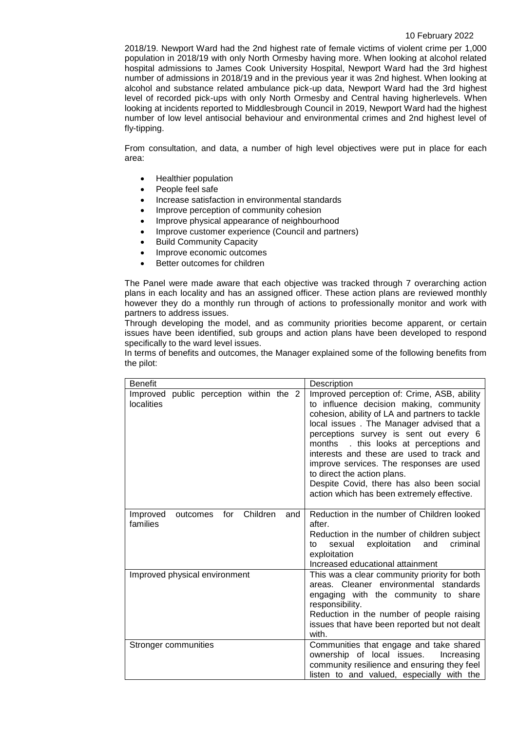#### 10 February 2022

2018/19. Newport Ward had the 2nd highest rate of female victims of violent crime per 1,000 population in 2018/19 with only North Ormesby having more. When looking at alcohol related hospital admissions to James Cook University Hospital, Newport Ward had the 3rd highest number of admissions in 2018/19 and in the previous year it was 2nd highest. When looking at alcohol and substance related ambulance pick-up data, Newport Ward had the 3rd highest level of recorded pick-ups with only North Ormesby and Central having higherlevels. When looking at incidents reported to Middlesbrough Council in 2019, Newport Ward had the highest number of low level antisocial behaviour and environmental crimes and 2nd highest level of fly-tipping.

From consultation, and data, a number of high level objectives were put in place for each area:

- Healthier population
- People feel safe
- Increase satisfaction in environmental standards
- Improve perception of community cohesion
- Improve physical appearance of neighbourhood
- Improve customer experience (Council and partners)
- Build Community Capacity
- Improve economic outcomes
- Better outcomes for children

The Panel were made aware that each objective was tracked through 7 overarching action plans in each locality and has an assigned officer. These action plans are reviewed monthly however they do a monthly run through of actions to professionally monitor and work with partners to address issues.

Through developing the model, and as community priorities become apparent, or certain issues have been identified, sub groups and action plans have been developed to respond specifically to the ward level issues.

In terms of benefits and outcomes, the Manager explained some of the following benefits from the pilot:

| <b>Benefit</b>                                             | Description                                                                                                                                                                                                                                                                                                                                                                                                                                                                                    |
|------------------------------------------------------------|------------------------------------------------------------------------------------------------------------------------------------------------------------------------------------------------------------------------------------------------------------------------------------------------------------------------------------------------------------------------------------------------------------------------------------------------------------------------------------------------|
| Improved public perception within the 2<br>localities      | Improved perception of: Crime, ASB, ability<br>to influence decision making, community<br>cohesion, ability of LA and partners to tackle<br>local issues. The Manager advised that a<br>perceptions survey is sent out every 6<br>. this looks at perceptions and<br>months<br>interests and these are used to track and<br>improve services. The responses are used<br>to direct the action plans.<br>Despite Covid, there has also been social<br>action which has been extremely effective. |
| Children<br>Improved<br>for<br>outcomes<br>and<br>families | Reduction in the number of Children looked<br>after.<br>Reduction in the number of children subject<br>criminal<br>exploitation<br>and<br>sexual<br>to<br>exploitation<br>Increased educational attainment                                                                                                                                                                                                                                                                                     |
| Improved physical environment                              | This was a clear community priority for both<br>areas. Cleaner environmental standards<br>engaging with the community to share<br>responsibility.<br>Reduction in the number of people raising<br>issues that have been reported but not dealt<br>with.                                                                                                                                                                                                                                        |
| Stronger communities                                       | Communities that engage and take shared<br>ownership of local issues.<br>Increasing<br>community resilience and ensuring they feel<br>listen to and valued, especially with the                                                                                                                                                                                                                                                                                                                |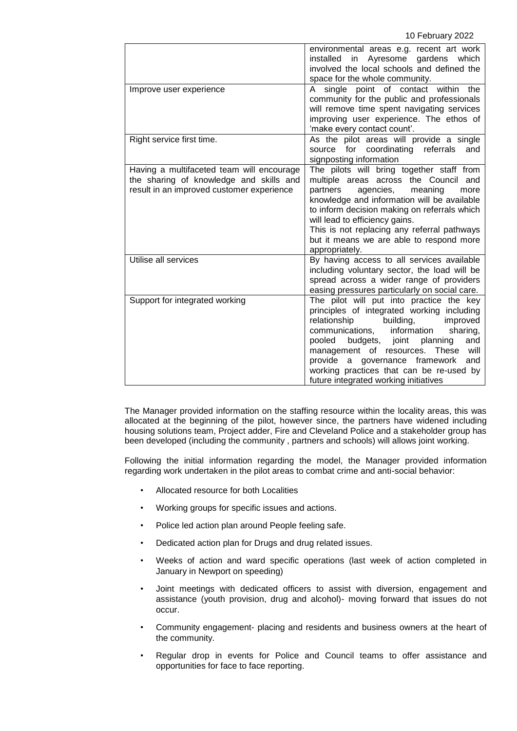|                                                                                                                                   | environmental areas e.g. recent art work<br>installed<br>in Ayresome gardens<br>which<br>involved the local schools and defined the<br>space for the whole community.                                                                                                                                                                                                                    |
|-----------------------------------------------------------------------------------------------------------------------------------|------------------------------------------------------------------------------------------------------------------------------------------------------------------------------------------------------------------------------------------------------------------------------------------------------------------------------------------------------------------------------------------|
| Improve user experience                                                                                                           | A single point of contact within<br>the<br>community for the public and professionals<br>will remove time spent navigating services<br>improving user experience. The ethos of<br>'make every contact count'.                                                                                                                                                                            |
| Right service first time.                                                                                                         | As the pilot areas will provide a single<br>source for coordinating referrals<br>and<br>signposting information                                                                                                                                                                                                                                                                          |
| Having a multifaceted team will encourage<br>the sharing of knowledge and skills and<br>result in an improved customer experience | The pilots will bring together staff from<br>multiple areas across the Council and<br>partners<br>agencies,<br>meaning<br>more<br>knowledge and information will be available<br>to inform decision making on referrals which<br>will lead to efficiency gains.<br>This is not replacing any referral pathways<br>but it means we are able to respond more<br>appropriately.             |
| Utilise all services                                                                                                              | By having access to all services available<br>including voluntary sector, the load will be<br>spread across a wider range of providers<br>easing pressures particularly on social care.                                                                                                                                                                                                  |
| Support for integrated working                                                                                                    | The pilot will put into practice the key<br>principles of integrated working including<br>relationship<br>building,<br>improved<br>communications, information<br>sharing,<br>pooled budgets, joint planning<br>and<br>management of resources. These will<br>provide a governance framework<br>and<br>working practices that can be re-used by<br>future integrated working initiatives |

The Manager provided information on the staffing resource within the locality areas, this was allocated at the beginning of the pilot, however since, the partners have widened including housing solutions team, Project adder, Fire and Cleveland Police and a stakeholder group has been developed (including the community , partners and schools) will allows joint working.

Following the initial information regarding the model, the Manager provided information regarding work undertaken in the pilot areas to combat crime and anti-social behavior:

- Allocated resource for both Localities
- Working groups for specific issues and actions.
- Police led action plan around People feeling safe.
- Dedicated action plan for Drugs and drug related issues.
- Weeks of action and ward specific operations (last week of action completed in January in Newport on speeding)
- Joint meetings with dedicated officers to assist with diversion, engagement and assistance (youth provision, drug and alcohol)- moving forward that issues do not occur.
- Community engagement- placing and residents and business owners at the heart of the community.
- Regular drop in events for Police and Council teams to offer assistance and opportunities for face to face reporting.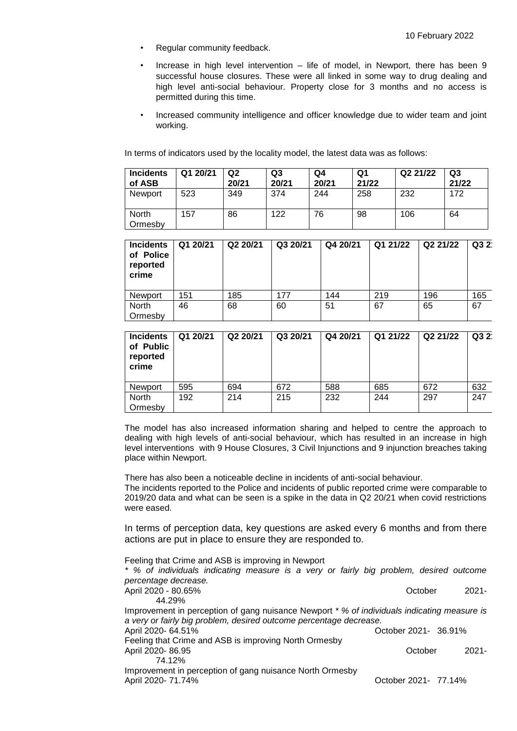- Regular community feedback.
- Increase in high level intervention  $-$  life of model, in Newport, there has been 9 successful house closures. These were all linked in some way to drug dealing and high level anti-social behaviour. Property close for 3 months and no access is permitted during this time.
- Increased community intelligence and officer knowledge due to wider team and joint working.

In terms of indicators used by the locality model, the latest data was as follows:

| <b>Incidents</b><br>of ASB | Q1 20/21 | Q <sub>2</sub><br>20/21 | Q3<br>20/21 | Q4<br>20/21 | Q1<br>21/22 | Q2 21/22 | Q3<br>21/22 |
|----------------------------|----------|-------------------------|-------------|-------------|-------------|----------|-------------|
| Newport                    | 523      | 349                     | 374         | 244         | 258         | 232      | 172         |
| North<br>Ormesbv           | 157      | 86                      | 122         | 76          | 98          | 106      | 64          |

| <b>Incidents</b><br>of Police<br>reported<br>crime | Q1 20/21 | Q2 20/21 | Q3 20/21 | Q4 20/21 | Q1 21/22 | Q2 21/22 | Q32 |
|----------------------------------------------------|----------|----------|----------|----------|----------|----------|-----|
| Newport                                            | 151      | 185      | 177      | 144      | 219      | 196      | 165 |
| North<br>Ormesby                                   | 46       | 68       | 60       | 51       | 67       | 65       | 67  |

| <b>Incidents</b><br>of Public<br>reported<br>crime | Q1 20/21 | Q2 20/21 | Q3 20/21 | Q4 20/21 | Q1 21/22 | Q2 21/22 | Q3 2 |
|----------------------------------------------------|----------|----------|----------|----------|----------|----------|------|
| Newport                                            | 595      | 694      | 672      | 588      | 685      | 672      | 632  |
| North<br>Ormesby                                   | 192      | 214      | 215      | 232      | 244      | 297      | 247  |

The model has also increased information sharing and helped to centre the approach to dealing with high levels of anti-social behaviour, which has resulted in an increase in high level interventions with 9 House Closures, 3 Civil Injunctions and 9 injunction breaches taking place within Newport.

There has also been a noticeable decline in incidents of anti-social behaviour. The incidents reported to the Police and incidents of public reported crime were comparable to 2019/20 data and what can be seen is a spike in the data in Q2 20/21 when covid restrictions were eased.

In terms of perception data, key questions are asked every 6 months and from there actions are put in place to ensure they are responded to.

Feeling that Crime and ASB is improving in Newport

| * % of individuals indicating measure is a very or fairly big problem, desired outcome      |                      |
|---------------------------------------------------------------------------------------------|----------------------|
| percentage decrease.                                                                        |                      |
| April 2020 - 80.65%                                                                         | $2021 -$<br>October  |
| 44.29%                                                                                      |                      |
| Improvement in perception of gang nuisance Newport * % of individuals indicating measure is |                      |
| a very or fairly big problem, desired outcome percentage decrease.                          |                      |
| April 2020- 64.51%                                                                          | October 2021- 36.91% |
| Feeling that Crime and ASB is improving North Ormesby                                       |                      |
| April 2020-86.95                                                                            | $2021 -$<br>October  |
| 74.12%                                                                                      |                      |
| Improvement in perception of gang nuisance North Ormesby                                    |                      |
| April 2020- 71.74%                                                                          | October 2021- 77.14% |
|                                                                                             |                      |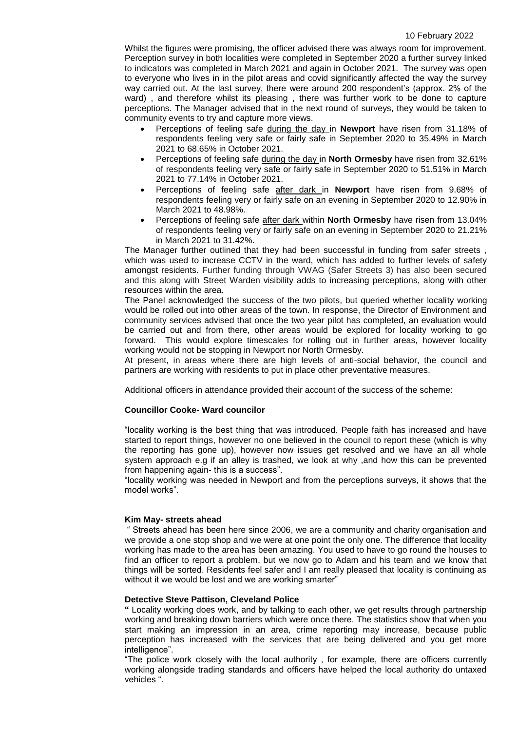#### 10 February 2022

Whilst the figures were promising, the officer advised there was always room for improvement. Perception survey in both localities were completed in September 2020 a further survey linked to indicators was completed in March 2021 and again in October 2021. The survey was open to everyone who lives in in the pilot areas and covid significantly affected the way the survey way carried out. At the last survey, there were around 200 respondent's (approx. 2% of the ward) , and therefore whilst its pleasing , there was further work to be done to capture perceptions. The Manager advised that in the next round of surveys, they would be taken to community events to try and capture more views.

- Perceptions of feeling safe during the day in **Newport** have risen from 31.18% of respondents feeling very safe or fairly safe in September 2020 to 35.49% in March 2021 to 68.65% in October 2021.
- Perceptions of feeling safe during the day in **North Ormesby** have risen from 32.61% of respondents feeling very safe or fairly safe in September 2020 to 51.51% in March 2021 to 77.14% in October 2021.
- Perceptions of feeling safe after dark in **Newport** have risen from 9.68% of respondents feeling very or fairly safe on an evening in September 2020 to 12.90% in March 2021 to 48.98%.
- Perceptions of feeling safe after dark within **North Ormesby** have risen from 13.04% of respondents feeling very or fairly safe on an evening in September 2020 to 21.21% in March 2021 to 31.42%.

The Manager further outlined that they had been successful in funding from safer streets , which was used to increase CCTV in the ward, which has added to further levels of safety amongst residents. Further funding through VWAG (Safer Streets 3) has also been secured and this along with Street Warden visibility adds to increasing perceptions, along with other resources within the area.

The Panel acknowledged the success of the two pilots, but queried whether locality working would be rolled out into other areas of the town. In response, the Director of Environment and community services advised that once the two year pilot has completed, an evaluation would be carried out and from there, other areas would be explored for locality working to go forward. This would explore timescales for rolling out in further areas, however locality working would not be stopping in Newport nor North Ormesby.

At present, in areas where there are high levels of anti-social behavior, the council and partners are working with residents to put in place other preventative measures.

Additional officers in attendance provided their account of the success of the scheme:

## **Councillor Cooke- Ward councilor**

"locality working is the best thing that was introduced. People faith has increased and have started to report things, however no one believed in the council to report these (which is why the reporting has gone up), however now issues get resolved and we have an all whole system approach e.g if an alley is trashed, we look at why ,and how this can be prevented from happening again- this is a success".

"locality working was needed in Newport and from the perceptions surveys, it shows that the model works".

## **Kim May- streets ahead**

" Streets ahead has been here since 2006, we are a community and charity organisation and we provide a one stop shop and we were at one point the only one. The difference that locality working has made to the area has been amazing. You used to have to go round the houses to find an officer to report a problem, but we now go to Adam and his team and we know that things will be sorted. Residents feel safer and I am really pleased that locality is continuing as without it we would be lost and we are working smarter"

## **Detective Steve Pattison, Cleveland Police**

**"** Locality working does work, and by talking to each other, we get results through partnership working and breaking down barriers which were once there. The statistics show that when you start making an impression in an area, crime reporting may increase, because public perception has increased with the services that are being delivered and you get more intelligence".

"The police work closely with the local authority , for example, there are officers currently working alongside trading standards and officers have helped the local authority do untaxed vehicles ".